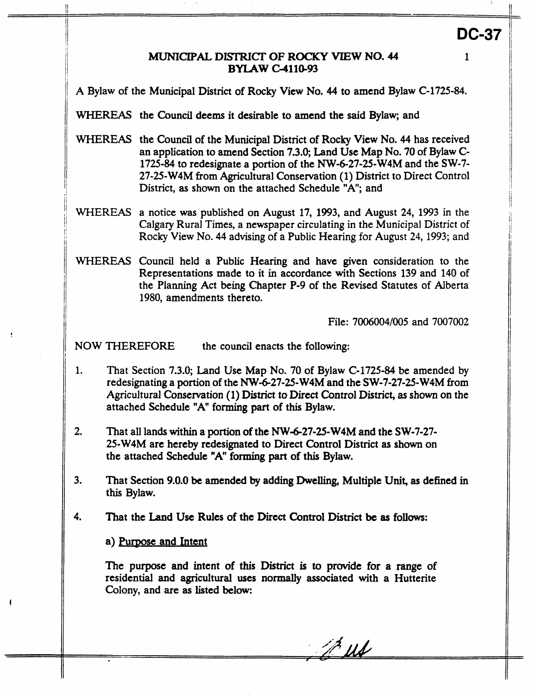#### *MUNTCIPAL* **DISTRICT** *OF* **ROCKY VIEW NO. 44 BYLAW C4110.93**

**A** Bylaw of the Municipal District of **Rocly** View No. **44** to amend Bylaw C-1725-84.

WHEREAS the Council deems it desirable to amend the said Bylaw; and

- WHEREAS the Council of the Municipal District of Rocky View No. **44** has received an application to amend Section **7.3.0;** Land Use Map No. 70 of Bylaw C-1725-84 to redesignate a portion of the NW-6-27-25-W4M and the SW-7- 27-25-W4M **from** Agncultural Conservation (1) District to Direct Control District, **as** shown on the attached Schedule **"A";** and
- WHEREAS a notice was published on August **17,** 1993, and August **24,** 1993 in the Calgary Rural Times, a newspaper circulating in the Municipal District of Rocky View NO. **44** advising of a Public Hearing for **August** 24,1993; and
- WHEREAS Council held a Public Hearing and have given consideration to the Representations made to it in accordance with Sections 139 and 140 **of**  the Planning Act being Chapter **P-9** of the Revised Statutes of Alberta 1980, amendments thereto.

File: 7006004/005 and 7007002

NOW THEREFORE the council enacts the following:

- 1. That Section **7.3.0;** Land Use Map No. 70 of Bylaw C-1725-84 be amended by redesignating a portion of the NW&27-25-W4M and the SW-7-27-25-W4M **from**  Agricultural Conservation (1) District *to* Direct Control District, **as** shown on the attached Schedule "A" forming part of this Bylaw.
- 2. That all lands within a portion of the NW-6-27-25-W4M and the SW-7-27-**25-W4M** are hereby redesignated to Direct Control District **as shown** on the attached Schedule "A" **forming part** of this Bylaw.
- **3.** That Section *9.0.0* **be** amended **by** adding Dwelling, Multiple **Unit, as** defined in this Bylaw.
- **4.** That the **Land Use** Rules **of** the Direct Control **District be as follows:**

Purpose **and** Intent

!

**The** purpose and intent **of** this **District** is **to** provide for **a** range of residential and agricultural uses **normally** associated with **a** Hutterite Colony, and are **as** listed **below:** 

A. us

**1** 

**DC-37**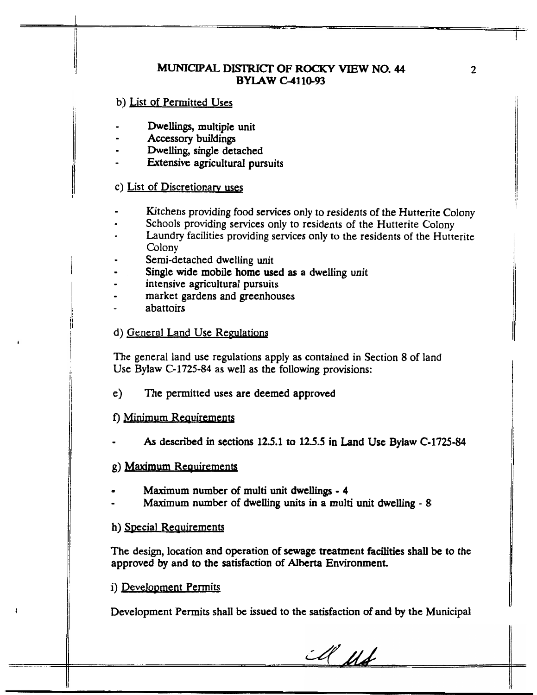# M[uNIccpAL **DlsTRlcT OF ROCKY VIEW NO. <sup>44</sup> BYLAW C4110-93**

b) List of Permitted Uses

- *<sup>0</sup>*Dwellings, multiple unit
- **I Accessory** buildings
- Dwelling, single detached
- **Extensive agricultural pursuits**

### c) List of Discretionarv uses

- Kitchens providing food services only to residents of the Hutterite Colony
- Schools providing services only to residents of the Hutterite Colony -
- **Laundry** facilities providing **services only bo** the residents of the Hutterite **u**  Colony
- Semi-detached dwelling unit
- Single wide mobile home used **as** a dwelling unit *0*
- intensive agricultural pursuits
- market gardens and greenhouses
- abattoirs

## d) General Land Use Regulations

The general land **use** regulations apply **as** contained in Section 8 of land Use Bylaw **C-1725-84** as well as the following provisions:

e) The permitted uses are deemed approved

## f) Minimum Requirements

As described in sections 12.5.1 to 12.5.5 in Land Use Bylaw C-1725-84

#### **g)** Maximum Reauirements

- .. Maximum number **of** multi unit **dwellings <sup>4</sup>**
- **Maximum** number of dwelling **units** in **a multi** unit dwelling *8*

#### h) Special Requirements

The design, location and operation of sewage treatment **facilities** shall be to the approvcd **by** and *to* the satisfaction of **Alberta** Environment.

## i) Development Permits

I

Development **Permits** shall be issued to the satisfaction **of** and **by** the Municipal

A Mb

**2**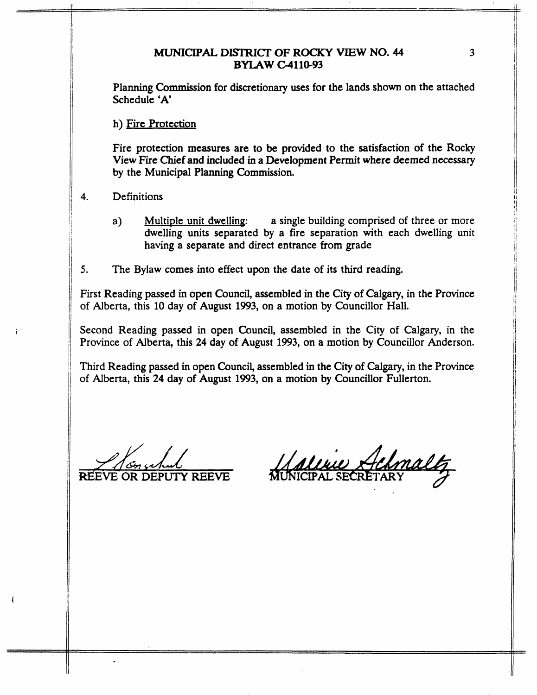#### MUNICIPAL **DIsfl;uCr OF ROCKY VIEW NO. 44 BYIAW G411@93**

Planning Commission for discretionary uses for the lands shown on the attached Schedule 'A'

h) Fire Protection

Fire protection measures are to be provided **to** the satisfaction of the Rocky View Fire Chief and included in a Development Permit where deemed necessary **by** the Municipal Planning Commission.

- **4.** Definitions
	- a) Multiple unit dwelling: a single building comprised of three or more dwelling units separated by a fire separation with each dwelling unit having a separate and direct entrance from grade
- *5.* The Bylaw comes into effect upon the date of its third reading.

First Reading passed in open Council, assembled in the City of Calgary, in the Province of Alberta, this 10 day of August 1993, on a motion **by** Councillor Hall.

Second Reading passed in open Council, assembled in the City of Calgary, in the Province of Alberta, this **24** day of August 1993, on **a** motion **by** Councillor Anderson.

Third Reading passed in open Council, assembled in the City of Calgary, in the Province of Alberta, this **24** day of August 1993, on a motion by Councillor Fullerton.

EVE **OR DEPUTY** REEVE *a/Lsy/Ic* 

maltz <u>Aaline Helm</u>